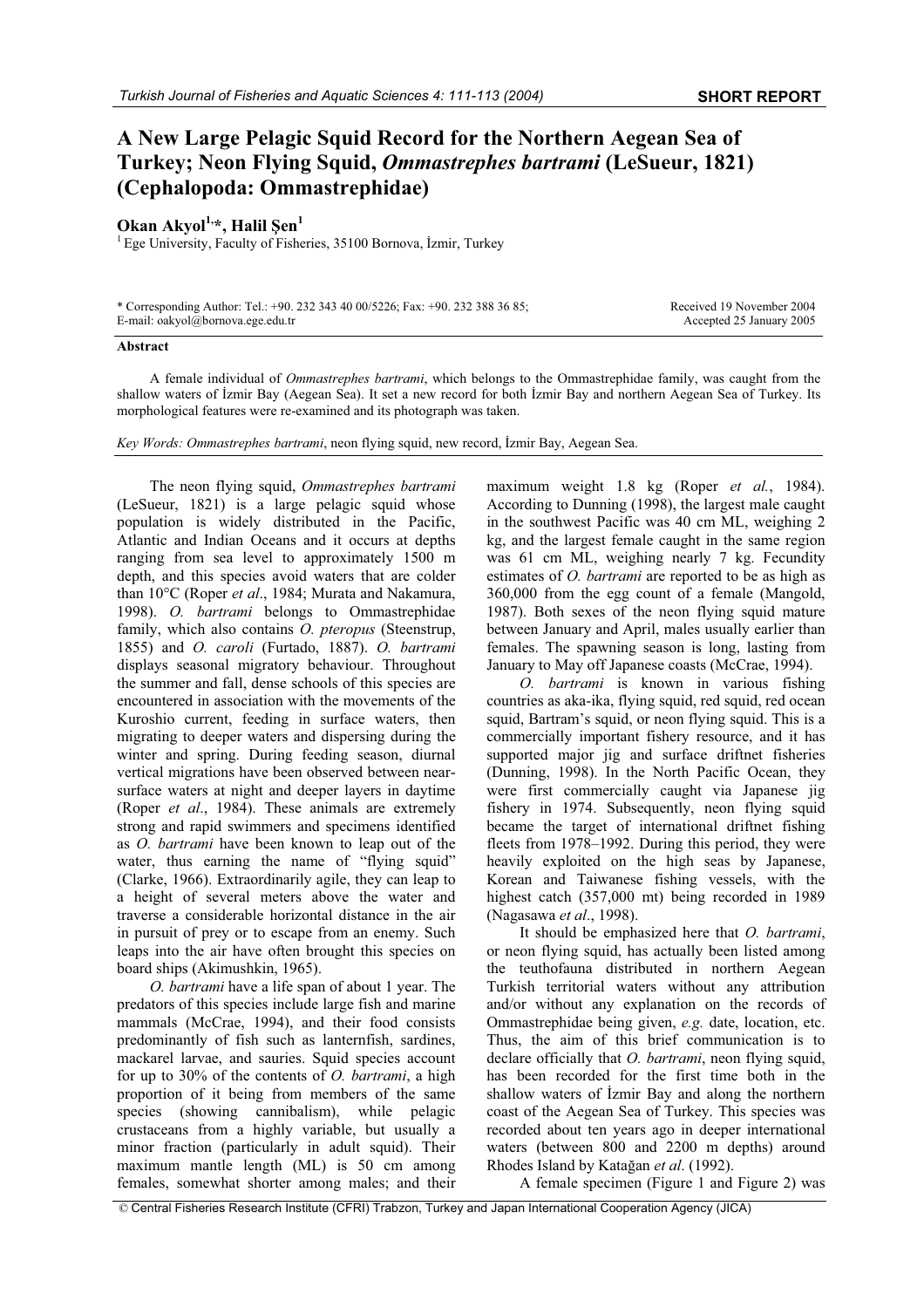## **A New Large Pelagic Squid Record for the Northern Aegean Sea of Turkey; Neon Flying Squid,** *Ommastrephes bartrami* **(LeSueur, 1821) (Cephalopoda: Ommastrephidae)**

## **Okan Akyol**<sup>1,\*</sup>, Halil Sen<sup>1</sup>

 $1$  Ege University, Faculty of Fisheries, 35100 Bornova, İzmir, Turkey

| * Corresponding Author: Tel.: +90. 232 343 40 00/5226; Fax: +90. 232 388 36 85; |  |
|---------------------------------------------------------------------------------|--|
| E-mail: oakyol@bornova.ege.edu.tr                                               |  |

Received 19 November 2004 Accepted 25 January 2005

## **Abstract**

A female individual of *Ommastrephes bartrami*, which belongs to the Ommastrephidae family, was caught from the shallow waters of İzmir Bay (Aegean Sea). It set a new record for both İzmir Bay and northern Aegean Sea of Turkey. Its morphological features were re-examined and its photograph was taken.

*Key Words: Ommastrephes bartrami*, neon flying squid, new record, İzmir Bay, Aegean Sea.

The neon flying squid, *Ommastrephes bartrami* (LeSueur, 1821) is a large pelagic squid whose population is widely distributed in the Pacific, Atlantic and Indian Oceans and it occurs at depths ranging from sea level to approximately 1500 m depth, and this species avoid waters that are colder than 10°C (Roper *et al*., 1984; Murata and Nakamura, 1998). *O. bartrami* belongs to Ommastrephidae family, which also contains *O. pteropus* (Steenstrup, 1855) and *O. caroli* (Furtado, 1887). *O. bartrami* displays seasonal migratory behaviour. Throughout the summer and fall, dense schools of this species are encountered in association with the movements of the Kuroshio current, feeding in surface waters, then migrating to deeper waters and dispersing during the winter and spring. During feeding season, diurnal vertical migrations have been observed between nearsurface waters at night and deeper layers in daytime (Roper *et al*., 1984). These animals are extremely strong and rapid swimmers and specimens identified as *O. bartrami* have been known to leap out of the water, thus earning the name of "flying squid" (Clarke, 1966). Extraordinarily agile, they can leap to a height of several meters above the water and traverse a considerable horizontal distance in the air in pursuit of prey or to escape from an enemy. Such leaps into the air have often brought this species on board ships (Akimushkin, 1965).

*O. bartrami* have a life span of about 1 year. The predators of this species include large fish and marine mammals (McCrae, 1994), and their food consists predominantly of fish such as lanternfish, sardines, mackarel larvae, and sauries. Squid species account for up to 30% of the contents of *O. bartrami*, a high proportion of it being from members of the same species (showing cannibalism), while pelagic crustaceans from a highly variable, but usually a minor fraction (particularly in adult squid). Their maximum mantle length (ML) is 50 cm among females, somewhat shorter among males; and their

maximum weight 1.8 kg (Roper *et al.*, 1984). According to Dunning (1998), the largest male caught in the southwest Pacific was 40 cm ML, weighing 2 kg, and the largest female caught in the same region was 61 cm ML, weighing nearly 7 kg. Fecundity estimates of *O. bartrami* are reported to be as high as 360,000 from the egg count of a female (Mangold, 1987). Both sexes of the neon flying squid mature between January and April, males usually earlier than females. The spawning season is long, lasting from January to May off Japanese coasts (McCrae, 1994).

*O. bartrami* is known in various fishing countries as aka-ika, flying squid, red squid, red ocean squid, Bartram's squid, or neon flying squid. This is a commercially important fishery resource, and it has supported major jig and surface driftnet fisheries (Dunning, 1998). In the North Pacific Ocean, they were first commercially caught via Japanese jig fishery in 1974. Subsequently, neon flying squid became the target of international driftnet fishing fleets from 1978–1992. During this period, they were heavily exploited on the high seas by Japanese, Korean and Taiwanese fishing vessels, with the highest catch (357,000 mt) being recorded in 1989 (Nagasawa *et al*., 1998).

It should be emphasized here that *O. bartrami*, or neon flying squid, has actually been listed among the teuthofauna distributed in northern Aegean Turkish territorial waters without any attribution and/or without any explanation on the records of Ommastrephidae being given, *e.g.* date, location, etc. Thus, the aim of this brief communication is to declare officially that *O. bartrami*, neon flying squid, has been recorded for the first time both in the shallow waters of İzmir Bay and along the northern coast of the Aegean Sea of Turkey. This species was recorded about ten years ago in deeper international waters (between 800 and 2200 m depths) around Rhodes Island by Katağan *et al.* (1992).

A female specimen (Figure 1 and Figure 2) was

© Central Fisheries Research Institute (CFRI) Trabzon, Turkey and Japan International Cooperation Agency (JICA)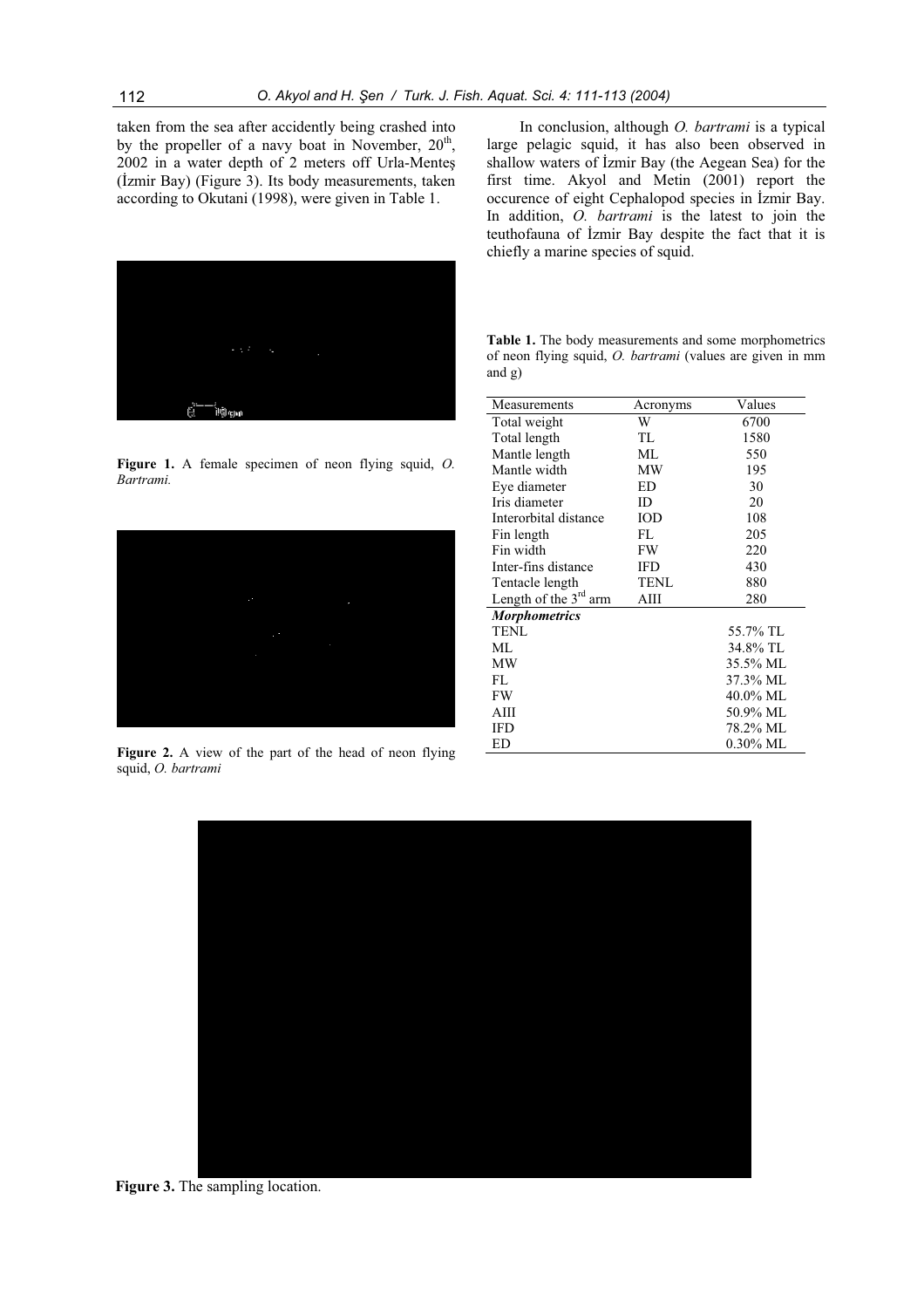taken from the sea after accidently being crashed into by the propeller of a navy boat in November,  $20<sup>th</sup>$ ,  $2002$  in a water depth of  $2$  meters off Urla-Mentes (İzmir Bay) (Figure 3). Its body measurements, taken according to Okutani (1998), were given in Table 1.



**Figure 1.** A female specimen of neon flying squid, *O. Bartrami.* 



**Figure 2.** A view of the part of the head of neon flying squid, *O. bartrami* 

In conclusion, although *O. bartrami* is a typical large pelagic squid, it has also been observed in shallow waters of İzmir Bay (the Aegean Sea) for the first time. Akyol and Metin (2001) report the occurence of eight Cephalopod species in İzmir Bay. In addition, *O. bartrami* is the latest to join the teuthofauna of *lzmir* Bay despite the fact that it is chiefly a marine species of squid.

| Table 1. The body measurements and some morphometrics            |
|------------------------------------------------------------------|
| of neon flying squid, <i>O. bartrami</i> (values are given in mm |
| and g)                                                           |

| Measurements            | Acronyms    | Values      |
|-------------------------|-------------|-------------|
| Total weight            | W           | 6700        |
| Total length            | TL          | 1580        |
| Mantle length           | ML.         | 550         |
| Mantle width            | MW          | 195         |
| Eye diameter            | ED          | 30          |
| Iris diameter           | ID          | 20          |
| Interorbital distance   | IOD         | 108         |
| Fin length              | FL          | 205         |
| Fin width               | FW          | 220         |
| Inter-fins distance     | IFD         | 430         |
| Tentacle length         | <b>TENL</b> | 880         |
| Length of the $3rd$ arm | AIII        | 280         |
| <b>Morphometrics</b>    |             |             |
| <b>TENL</b>             |             | 55.7% TL    |
| ML.                     |             | 34.8% TL    |
| МW                      |             | 35.5% ML    |
| FL.                     |             | 37.3% ML    |
| FW                      |             | 40.0% ML    |
| AIII                    |             | 50.9% ML    |
| IFD                     |             | 78.2% ML    |
| ED                      |             | $0.30\%$ ML |



**Figure 3.** The sampling location.